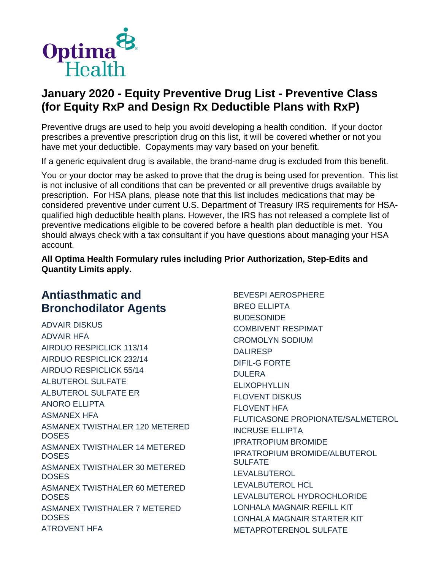

Preventive drugs are used to help you avoid developing a health condition. If your doctor prescribes a preventive prescription drug on this list, it will be covered whether or not you have met your deductible. Copayments may vary based on your benefit.

If a generic equivalent drug is available, the brand-name drug is excluded from this benefit.

You or your doctor may be asked to prove that the drug is being used for prevention. This list is not inclusive of all conditions that can be prevented or all preventive drugs available by prescription. For HSA plans, please note that this list includes medications that may be considered preventive under current U.S. Department of Treasury IRS requirements for HSAqualified high deductible health plans. However, the IRS has not released a complete list of preventive medications eligible to be covered before a health plan deductible is met. You should always check with a tax consultant if you have questions about managing your HSA account.

**All Optima Health Formulary rules including Prior Authorization, Step-Edits and Quantity Limits apply.**

# **Antiasthmatic and Bronchodilator Agents**

ADVAIR DISKUS ADVAIR HFA AIRDUO RESPICLICK 113/14 AIRDUO RESPICLICK 232/14 AIRDUO RESPICLICK 55/14 ALBUTEROL SULFATE ALBUTEROL SULFATE ER ANORO ELLIPTA ASMANEX HFA ASMANEX TWISTHALER 120 METERED **DOSES** ASMANEX TWISTHALER 14 METERED **DOSES** ASMANEX TWISTHALER 30 METERED **DOSES** ASMANEX TWISTHALER 60 METERED **DOSES** ASMANEX TWISTHALER 7 METERED DOSES ATROVENT HFA

BEVESPI AEROSPHERE BREO ELLIPTA BUDESONIDE COMBIVENT RESPIMAT CROMOLYN SODIUM DALIRESP DIFIL-G FORTE DULERA ELIXOPHYLLIN FLOVENT DISKUS FLOVENT HFA FLUTICASONE PROPIONATE/SALMETEROL INCRUSE ELLIPTA IPRATROPIUM BROMIDE IPRATROPIUM BROMIDE/ALBUTEROL SULFATE LEVALBUTEROL LEVALBUTEROL HCL LEVALBUTEROL HYDROCHLORIDE LONHALA MAGNAIR REFILL KIT LONHALA MAGNAIR STARTER KIT METAPROTERENOL SULFATE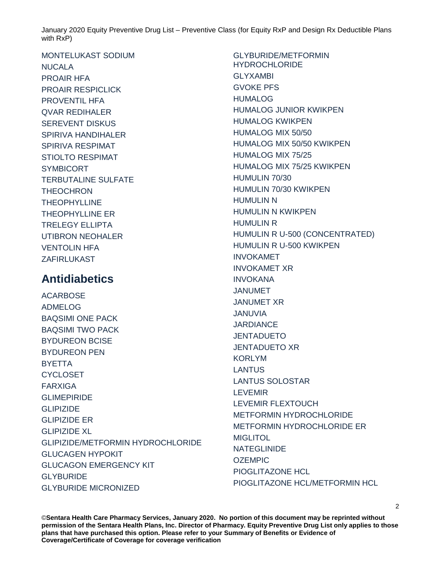MONTELUKAST SODIUM NUCALA PROAIR HFA PROAIR RESPICLICK PROVENTIL HFA QVAR REDIHALER SEREVENT DISKUS SPIRIVA HANDIHALER SPIRIVA RESPIMAT STIOLTO RESPIMAT SYMBICORT TERBUTALINE SULFATE **THEOCHRON THEOPHYLLINE** THEOPHYLLINE ER TRELEGY ELLIPTA UTIBRON NEOHALER VENTOLIN HFA ZAFIRLUKAST

# **Antidiabetics**

**ACARBOSE** ADMELOG BAQSIMI ONE PACK BAQSIMI TWO PACK BYDUREON BCISE BYDUREON PEN **BYETTA CYCLOSET** FARXIGA GLIMEPIRIDE GLIPIZIDE GLIPIZIDE ER GLIPIZIDE XL GLIPIZIDE/METFORMIN HYDROCHLORIDE GLUCAGEN HYPOKIT GLUCAGON EMERGENCY KIT **GLYBURIDE** GLYBURIDE MICRONIZED

GLYBURIDE/METFORMIN HYDROCHLORIDE GLYXAMBI GVOKE PFS HUMALOG HUMALOG JUNIOR KWIKPEN HUMALOG KWIKPEN HUMALOG MIX 50/50 HUMALOG MIX 50/50 KWIKPEN HUMALOG MIX 75/25 HUMALOG MIX 75/25 KWIKPEN HUMULIN 70/30 HUMULIN 70/30 KWIKPEN HUMULIN N HUMULIN N KWIKPEN HUMULIN R HUMULIN R U-500 (CONCENTRATED) HUMULIN R U-500 KWIKPEN INVOKAMET INVOKAMET XR INVOKANA JANUMET JANUMET XR JANUVIA **JARDIANCE** JENTADUETO JENTADUETO XR KORLYM LANTUS LANTUS SOLOSTAR LEVEMIR LEVEMIR FLEXTOUCH METFORMIN HYDROCHLORIDE METFORMIN HYDROCHLORIDE ER MIGLITOL **NATEGLINIDE OZEMPIC** PIOGLITAZONE HCL PIOGLITAZONE HCL/METFORMIN HCL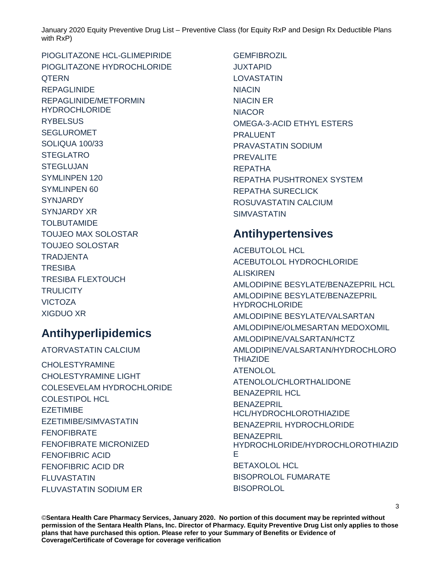PIOGLITAZONE HCL-GLIMEPIRIDE PIOGLITAZONE HYDROCHLORIDE **OTERN** REPAGLINIDE REPAGLINIDE/METFORMIN **HYDROCHLORIDE RYBELSUS** SEGLUROMET SOLIQUA 100/33 **STEGLATRO STEGLUJAN** SYMLINPEN 120 SYMLINPEN 60 SYNJARDY SYNJARDY XR TOLBUTAMIDE TOUJEO MAX SOLOSTAR TOUJEO SOLOSTAR TRADJENTA **TRESIBA** TRESIBA FLEXTOUCH **TRULICITY** VICTOZA XIGDUO XR

# **Antihyperlipidemics**

ATORVASTATIN CALCIUM CHOLESTYRAMINE CHOLESTYRAMINE LIGHT COLESEVELAM HYDROCHLORIDE COLESTIPOL HCL EZETIMIBE EZETIMIBE/SIMVASTATIN FENOFIBRATE FENOFIBRATE MICRONIZED FENOFIBRIC ACID FENOFIBRIC ACID DR FLUVASTATIN FLUVASTATIN SODIUM ER

GEMFIBROZIL JUXTAPID LOVASTATIN NIACIN NIACIN ER **NIACOR** OMEGA-3-ACID ETHYL ESTERS PRALUENT PRAVASTATIN SODIUM **PREVALITE** REPATHA REPATHA PUSHTRONEX SYSTEM REPATHA SURECLICK ROSUVASTATIN CALCIUM SIMVASTATIN

# **Antihypertensives**

ACEBUTOLOL HCL ACEBUTOLOL HYDROCHLORIDE ALISKIREN AMLODIPINE BESYLATE/BENAZEPRIL HCL AMLODIPINE BESYLATE/BENAZEPRIL **HYDROCHLORIDE** AMLODIPINE BESYLATE/VALSARTAN AMLODIPINE/OLMESARTAN MEDOXOMIL AMLODIPINE/VALSARTAN/HCTZ AMLODIPINE/VALSARTAN/HYDROCHLORO **THIAZIDE** ATENOLOL ATENOLOL/CHLORTHALIDONE BENAZEPRIL HCL BENAZEPRIL HCL/HYDROCHLOROTHIAZIDE BENAZEPRIL HYDROCHLORIDE BENAZEPRIL HYDROCHLORIDE/HYDROCHLOROTHIAZID E BETAXOLOL HCL BISOPROLOL FUMARATE **BISOPROLOL**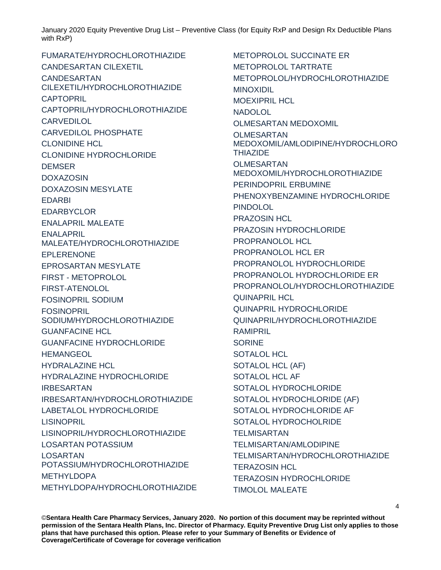FUMARATE/HYDROCHLOROTHIAZIDE CANDESARTAN CILEXETIL CANDESARTAN CILEXETIL/HYDROCHLOROTHIAZIDE CAPTOPRIL CAPTOPRIL/HYDROCHLOROTHIAZIDE **CARVEDILOL** CARVEDILOL PHOSPHATE CLONIDINE HCL CLONIDINE HYDROCHLORIDE DEMSER DOXAZOSIN DOXAZOSIN MESYLATE EDARBI **FDARBYCLOR** ENALAPRIL MALEATE ENALAPRIL MALEATE/HYDROCHLOROTHIAZIDE EPLERENONE EPROSARTAN MESYLATE FIRST - METOPROLOL FIRST-ATENOLOL FOSINOPRIL SODIUM FOSINOPRIL SODIUM/HYDROCHLOROTHIAZIDE GUANFACINE HCL GUANFACINE HYDROCHLORIDE **HEMANGEOL** HYDRALAZINE HCL HYDRALAZINE HYDROCHLORIDE IRBESARTAN IRBESARTAN/HYDROCHLOROTHIAZIDE LABETALOL HYDROCHLORIDE **LISINOPRIL** LISINOPRIL/HYDROCHLOROTHIAZIDE LOSARTAN POTASSIUM LOSARTAN POTASSIUM/HYDROCHLOROTHIAZIDE METHYLDOPA METHYLDOPA/HYDROCHLOROTHIAZIDE

METOPROLOL SUCCINATE ER METOPROLOL TARTRATE METOPROLOL/HYDROCHLOROTHIAZIDE MINOXIDIL MOEXIPRIL HCL **NADOLOL** OLMESARTAN MEDOXOMIL OLMESARTAN MEDOXOMIL/AMLODIPINE/HYDROCHLORO THIAZIDE OLMESARTAN MEDOXOMIL/HYDROCHLOROTHIAZIDE PERINDOPRIL ERBUMINE PHENOXYBENZAMINE HYDROCHLORIDE PINDOLOL PRAZOSIN HCL PRAZOSIN HYDROCHLORIDE PROPRANOLOL HCL PROPRANOLOL HCL ER PROPRANOLOL HYDROCHLORIDE PROPRANOLOL HYDROCHLORIDE ER PROPRANOLOL/HYDROCHLOROTHIAZIDE QUINAPRIL HCL QUINAPRIL HYDROCHLORIDE QUINAPRIL/HYDROCHLOROTHIAZIDE RAMIPRIL SORINE SOTALOL HCL SOTALOL HCL (AF) SOTALOL HCL AF SOTALOL HYDROCHLORIDE SOTALOL HYDROCHLORIDE (AF) SOTALOL HYDROCHLORIDE AF SOTALOL HYDROCHOLRIDE **TELMISARTAN** TELMISARTAN/AMLODIPINE TELMISARTAN/HYDROCHLOROTHIAZIDE TERAZOSIN HCL TERAZOSIN HYDROCHLORIDE TIMOLOL MALEATE

4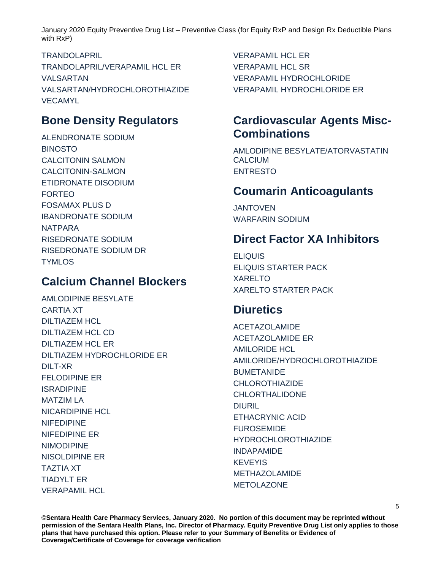TRANDOLAPRIL TRANDOLAPRIL/VERAPAMIL HCL ER VALSARTAN VALSARTAN/HYDROCHLOROTHIAZIDE VECAMYL

# **Bone Density Regulators**

ALENDRONATE SODIUM BINOSTO CALCITONIN SALMON CALCITONIN-SALMON ETIDRONATE DISODIUM FORTEO FOSAMAX PLUS D IBANDRONATE SODIUM NATPARA RISEDRONATE SODIUM RISEDRONATE SODIUM DR **TYMLOS** 

# **Calcium Channel Blockers**

AMLODIPINE BESYLATE CARTIA XT DILTIAZEM HCL DILTIAZEM HCL CD DILTIAZEM HCL ER DILTIAZEM HYDROCHLORIDE ER DILT-XR FELODIPINE ER ISRADIPINE MATZIM LA NICARDIPINE HCL NIFEDIPINE NIFEDIPINE ER NIMODIPINE NISOLDIPINE ER TAZTIA XT TIADYLT ER VERAPAMIL HCL

VERAPAMIL HCL ER **VERAPAMIL HCL SR** VERAPAMIL HYDROCHLORIDE VERAPAMIL HYDROCHLORIDE ER

# **Cardiovascular Agents Misc-Combinations**

AMLODIPINE BESYLATE/ATORVASTATIN CALCIUM ENTRESTO

### **Coumarin Anticoagulants**

JANTOVEN WARFARIN SODIUM

### **Direct Factor XA Inhibitors**

ELIQUIS ELIQUIS STARTER PACK XARELTO XARELTO STARTER PACK

# **Diuretics**

ACETAZOLAMIDE ACETAZOLAMIDE ER AMILORIDE HCL AMILORIDE/HYDROCHLOROTHIAZIDE **BUMETANIDE** CHLOROTHIAZIDE CHLORTHALIDONE DIURIL ETHACRYNIC ACID FUROSEMIDE HYDROCHLOROTHIAZIDE INDAPAMIDE KEVEYIS METHAZOLAMIDE METOLAZONE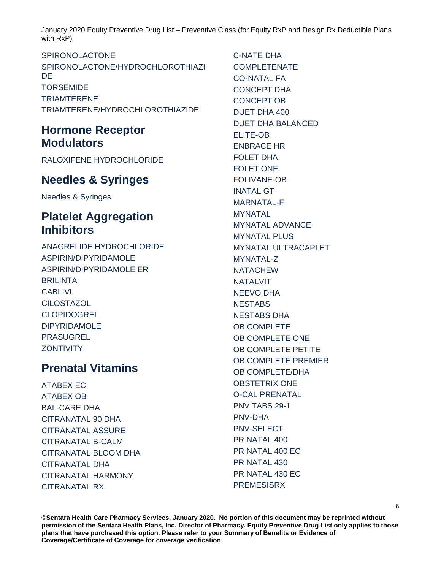#### SPIRONOLACTONE

SPIRONOLACTONE/HYDROCHLOROTHIAZI **DE TORSEMIDE TRIAMTERENE** TRIAMTERENE/HYDROCHLOROTHIAZIDE

# **Hormone Receptor Modulators**

RALOXIFENE HYDROCHLORIDE

### **Needles & Syringes**

Needles & Syringes

# **Platelet Aggregation Inhibitors**

ANAGRELIDE HYDROCHLORIDE ASPIRIN/DIPYRIDAMOLE ASPIRIN/DIPYRIDAMOLE ER BRILINTA **CABLIVI CILOSTAZOL CLOPIDOGREL** DIPYRIDAMOLE PRASUGREL **ZONTIVITY** 

### **Prenatal Vitamins**

ATABEX EC ATABEX OB BAL-CARE DHA CITRANATAL 90 DHA CITRANATAL ASSURE CITRANATAL B-CALM CITRANATAL BLOOM DHA CITRANATAL DHA CITRANATAL HARMONY CITRANATAL RX

C-NATE DHA COMPI FTFNATF CO-NATAL FA CONCEPT DHA CONCEPT OB DUET DHA 400 DUET DHA BALANCED ELITE-OB ENBRACE HR FOLET DHA FOLET ONE FOLIVANE-OB INATAL GT MARNATAL-F MYNATAL MYNATAL ADVANCE MYNATAL PLUS MYNATAL ULTRACAPLET MYNATAL-Z **NATACHEW NATALVIT** NEEVO DHA **NESTABS** NESTABS DHA OB COMPLETE OB COMPLETE ONE OB COMPLETE PETITE OB COMPLETE PREMIER OB COMPLETE/DHA OBSTETRIX ONE O-CAL PRENATAL PNV TABS 29-1 PNV-DHA PNV-SELECT PR NATAL 400 PR NATAL 400 EC PR NATAL 430 PR NATAL 430 EC **PREMESISRX**